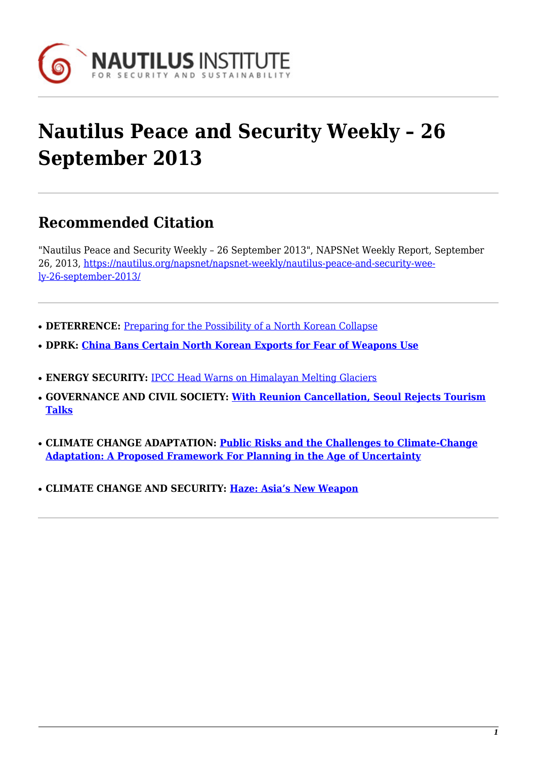

# **Nautilus Peace and Security Weekly – 26 September 2013**

# **Recommended Citation**

"Nautilus Peace and Security Weekly – 26 September 2013", NAPSNet Weekly Report, September 26, 2013, [https://nautilus.org/napsnet/napsnet-weekly/nautilus-peace-and-security-wee](https://nautilus.org/napsnet/napsnet-weekly/nautilus-peace-and-security-weekly-26-september-2013/)[ly-26-september-2013/](https://nautilus.org/napsnet/napsnet-weekly/nautilus-peace-and-security-weekly-26-september-2013/)

- **DETERRENCE:** [Preparing for the Possibility of a North Korean Collapse](#page-0-0)
- **DPRK: [China Bans Certain North Korean Exports for Fear of Weapons Use](#page-1-0)**
- **ENERGY SECURITY: [IPCC Head Warns on Himalayan Melting Glaciers](#page-2-0)**
- **GOVERNANCE AND CIVIL SOCIETY: [With Reunion Cancellation, Seoul Rejects Tourism](#page-2-1) [Talks](#page-2-1)**
- **CLIMATE CHANGE ADAPTATION: [Public Risks and the Challenges to Climate-Change](#page-3-0) [Adaptation: A Proposed Framework For Planning in the Age of Uncertainty](#page-3-0)**
- <span id="page-0-0"></span>● **CLIMATE CHANGE AND SECURITY: [Haze: Asia's New Weapon](#page-4-0)**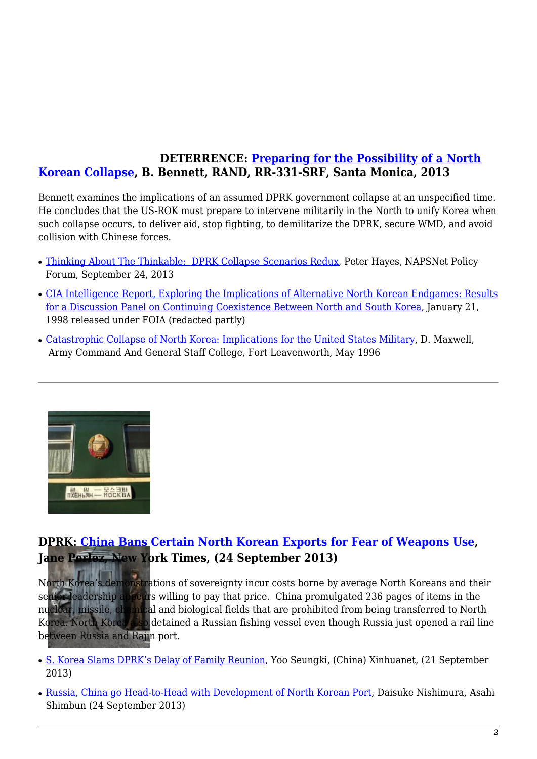## **DETERRENCE: [Preparing for the Possibility of a North](http://m.rand.org/pubs/research_reports/RR331.html) [Korean Collapse,](http://m.rand.org/pubs/research_reports/RR331.html) B. Bennett, RAND, RR-331-SRF, Santa Monica, 2013**

Bennett examines the implications of an assumed DPRK government collapse at an unspecified time. He concludes that the US-ROK must prepare to intervene militarily in the North to unify Korea when such collapse occurs, to deliver aid, stop fighting, to demilitarize the DPRK, secure WMD, and avoid collision with Chinese forces.

- [Thinking About The Thinkable: DPRK Collapse Scenarios Redux](https://nautilus.org/napsnet/napsnet-policy-forum/thinking-about-the-thinkable-dprk-collapse-scenarios-redux/#axzz2fyKRX9JE), Peter Hayes, NAPSNet Policy Forum, September 24, 2013
- [CIA Intelligence Report, Exploring the Implications of Alternative North Korean Endgames: Results](http://www.gwu.edu/~nsarchiv/NSAEBB/NSAEBB205/index.htm) [for a Discussion Panel on Continuing Coexistence Between North and South Korea](http://www.gwu.edu/~nsarchiv/NSAEBB/NSAEBB205/index.htm), January 21, 1998 released under FOIA (redacted partly)
- [Catastrophic Collapse of North Korea: Implications for the United States Military](http://www.dtic.mil/docs/citations/ADA314274), D. Maxwell, Army Command And General Staff College, Fort Leavenworth, May 1996



# <span id="page-1-0"></span>**DPRK: [China Bans Certain North Korean Exports for Fear of Weapons Use](http://www.nytimes.com/2013/09/25/world/asia/china-bans-certain-north-korean-exports-for-fear-of-weapons-use.html?_r=0), J[ane Perlez, New Yo](https://nautilus.org/wp-content/uploads/2013/09/DPRK-soldier.jpg)rk Times, (24 September 2013)**

North Korea's demonstrations of sovereignty incur costs borne by average North Koreans and their senior leadership appears willing to pay that price. China promulgated 236 pages of items in the nuclear, missile, chemical and biological fields that are prohibited from being transferred to North Korea. North Korea also detained a Russian fishing vessel even though Russia just opened a rail line between Russia and Rajin port.

- [S. Korea Slams DPRK's Delay of Family Reunion](http://news.xinhuanet.com/english/world/2013-09/21/c_132737751.htm), Yoo Seungki, (China) Xinhuanet, (21 September 2013)
- [Russia, China go Head-to-Head with Development of North Korean Port](http://ajw.asahi.com/article/asia/korean_peninsula/AJ201309240064), Daisuke Nishimura, Asahi Shimbun (24 September 2013)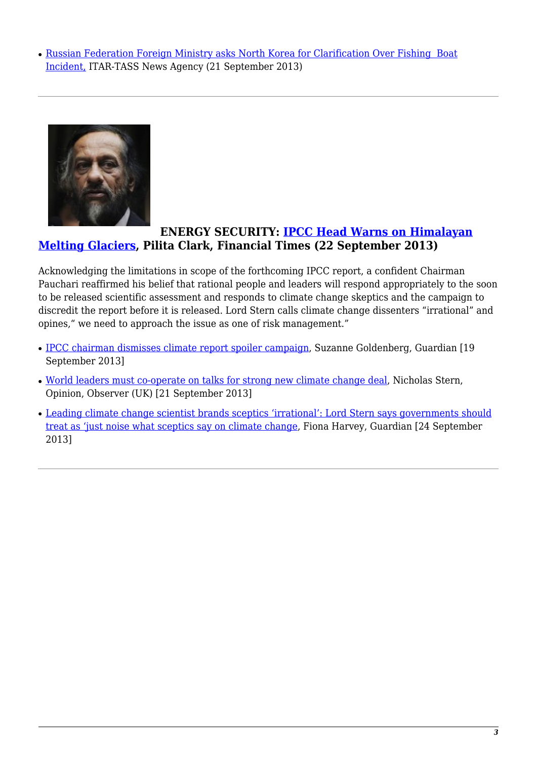• [Russian Federation Foreign Ministry asks North Korea for Clarification Over Fishing Boat](http://www.itar-tass.com/en/c154/884794.html) [Incident,](http://www.itar-tass.com/en/c154/884794.html) ITAR-TASS News Agency (21 September 2013)

<span id="page-2-0"></span>

## **ENERGY SECURITY: [IPCC Head Warns on Himalayan](http://www.ft.com/intl/cms/s/0/10e65b88-220a-11e3-9b55-00144feab7de.html) [Melting Glaciers,](http://www.ft.com/intl/cms/s/0/10e65b88-220a-11e3-9b55-00144feab7de.html) Pilita Clark, Financial Times (22 September 2013)**

Acknowledging the limitations in scope of the forthcoming IPCC report, a confident Chairman Pauchari reaffirmed his belief that rational people and leaders will respond appropriately to the soon to be released scientific assessment and responds to climate change skeptics and the campaign to discredit the report before it is released. Lord Stern calls climate change dissenters "irrational" and opines," we need to approach the issue as one of risk management."

- [IPCC chairman dismisses climate report spoiler campaign,](http://www.theguardian.com/environment/2013/sep/19/ipcc-chairman-climate-report) Suzanne Goldenberg, Guardian [19 September 2013]
- [World leaders must co-operate on talks for strong new climate change deal](http://www.theguardian.com/commentisfree/2013/sep/21/world-leaders-climate-change-challenge), Nicholas Stern, Opinion, Observer (UK) [21 September 2013]
- <span id="page-2-1"></span>• [Leading climate change scientist brands sceptics 'irrational': Lord Stern says governments should](http://www.theguardian.com/environment/2013/sep/24/lord-stern-climate-change-sceptics-irrational) [treat as 'just noise what sceptics say on climate change](http://www.theguardian.com/environment/2013/sep/24/lord-stern-climate-change-sceptics-irrational), Fiona Harvey, Guardian [24 September 2013]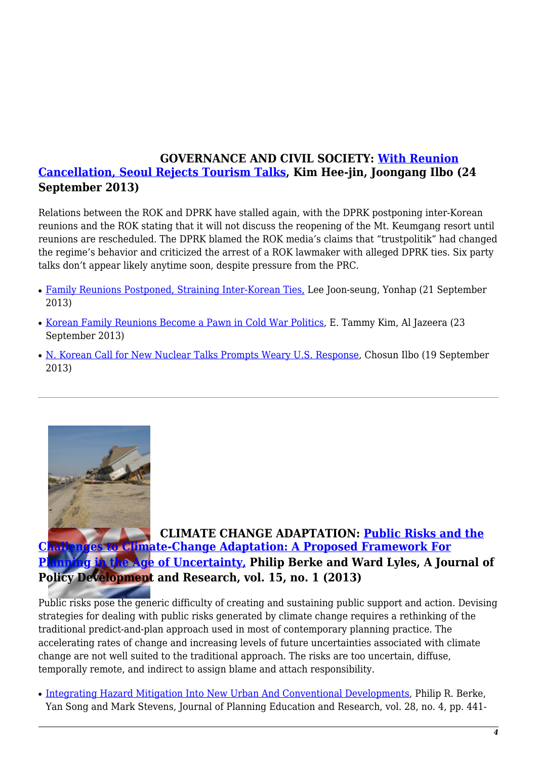## **GOVERNANCE AND CIVIL SOCIETY: [With Reunion](http://koreajoongangdaily.joins.com/news/article/Article.aspx?aid=2977887) [Cancellation, Seoul Rejects Tourism Talks](http://koreajoongangdaily.joins.com/news/article/Article.aspx?aid=2977887), Kim Hee-jin, Joongang Ilbo (24 September 2013)**

Relations between the ROK and DPRK have stalled again, with the DPRK postponing inter-Korean reunions and the ROK stating that it will not discuss the reopening of the Mt. Keumgang resort until reunions are rescheduled. The DPRK blamed the ROK media's claims that "trustpolitik" had changed the regime's behavior and criticized the arrest of a ROK lawmaker with alleged DPRK ties. Six party talks don't appear likely anytime soon, despite pressure from the PRC.

- [Family Reunions Postponed, Straining Inter-Korean Ties,](http://www.globalpost.com/dispatch/news/yonhap-news-agency/130921/news-focus-family-reunions-postponed-straining-inter-korean-) Lee Joon-seung, Yonhap (21 September 2013)
- [Korean Family Reunions Become a Pawn in Cold War Politics](http://america.aljazeera.com/articles/2013/9/23/korean-families-reunitewherenationscannot.html), E. Tammy Kim, Al Jazeera (23 September 2013)
- [N. Korean Call for New Nuclear Talks Prompts Weary U.S. Response](http://english.chosun.com/site/data/html_dir/2013/09/19/2013091900033.html), Chosun Ilbo (19 September 2013)

<span id="page-3-0"></span>

**CLIMATE CHANGE ADAPTATION: [Public Risks and the](http://www.huduser.org/portal/periodicals/cityscpe/vol15num1/Cityscape_March2013_pub_risks.pdf) [Ch](http://www.huduser.org/portal/periodicals/cityscpe/vol15num1/Cityscape_March2013_pub_risks.pdf)[allenges to Clim](https://nautilus.org/wp-content/uploads/2013/09/ROK-DPRK-flags.jpg)[ate-Change Adaptation: A Proposed Framework For](http://www.huduser.org/portal/periodicals/cityscpe/vol15num1/Cityscape_March2013_pub_risks.pdf) [Planning in the Age of Uncertainty,](http://www.huduser.org/portal/periodicals/cityscpe/vol15num1/Cityscape_March2013_pub_risks.pdf) Philip Berke and Ward Lyles, A Journal of Policy Development and Research, vol. 15, no. 1 (2013)**

Public risks pose the generic difficulty of creating and sustaining public support and action. Devising strategies for dealing with public risks generated by climate change requires a rethinking of the traditional predict-and-plan approach used in most of contemporary planning practice. The accelerating rates of change and increasing levels of future uncertainties associated with climate change are not well suited to the traditional approach. The risks are too uncertain, diffuse, temporally remote, and indirect to assign blame and attach responsibility.

• [Integrating Hazard Mitigation Into New Urban And Conventional Developments](http://jpe.sagepub.com/content/28/4/441), Philip R. Berke, Yan Song and Mark Stevens, Journal of Planning Education and Research, vol. 28, no. 4, pp. 441-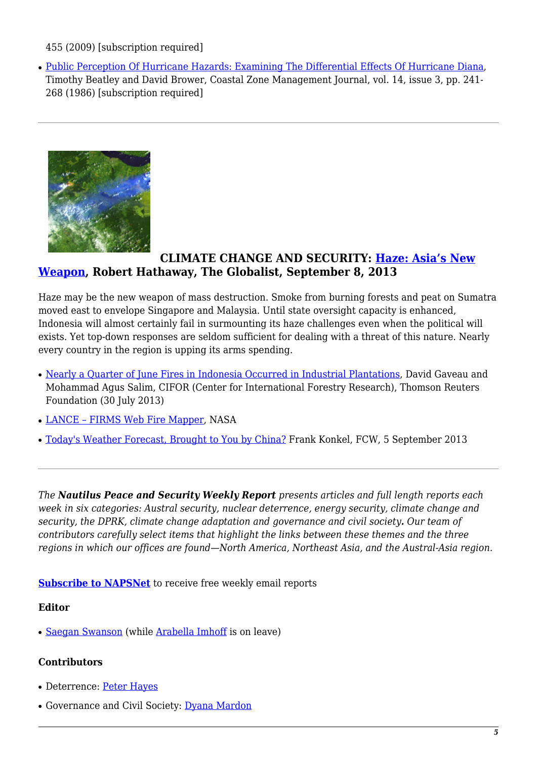#### 455 (2009) [subscription required]

• [Public Perception Of Hurricane Hazards: Examining The Differential Effects Of Hurricane Diana](http://www.tandfonline.com/doi/abs/10.1080/08920758609362004#preview), Timothy Beatley and David Brower, Coastal Zone Management Journal, vol. 14, issue 3, pp. 241- 268 (1986) [subscription required]

<span id="page-4-0"></span>

#### **CLIMATE CHANGE AND SECURITY: [Haze: Asia's New](http://www.theglobalist.com/haze-asias-new-weapon/) [Weapon,](http://www.theglobalist.com/haze-asias-new-weapon/) Robert Hathaway, The Globalist, September 8, 2013**

Haze may be the new weapon of mass destruction. Smoke from burning forests and peat on Sumatra moved east to envelope Singapore and Malaysia. Until state oversight capacity is enhanced, Indonesia will almost certainly fail in surmounting its haze challenges even when the political will exists. Yet top-down responses are seldom sufficient for dealing with a threat of this nature. Nearly every country in the region is upping its arms spending.

- [Nearly a Quarter of June Fires in Indonesia Occurred in Industrial Plantations](http://www.trust.org/item/20130730132911-smgq7/), David Gaveau and Mohammad Agus Salim, CIFOR (Center for International Forestry Research), Thomson Reuters Foundation (30 July 2013)
- LANCE FIRMS Web Fire Mapper, NASA
- [Today's Weather Forecast, Brought to You by China?](http://fcw.com/Articles/2013/09/05/NOAA-satellite-gap-China-solution.aspx?p=1) Frank Konkel, FCW, 5 September 2013

*The Nautilus Peace and Security Weekly Report presents articles and full length reports each week in six categories: Austral security, nuclear deterrence, energy security, climate change and security, the DPRK, climate change adaptation and governance and civil society. Our team of contributors carefully select items that highlight the links between these themes and the three regions in which our offices are found—North America, Northeast Asia, and the Austral-Asia region.* 

**[Subscribe to NAPSNet](http://www.nautilus.org/mailing-lists/sign-up-for-mailing-lists/)** to receive free weekly email reports

#### **Editor**

• [Saegan Swanson](https://nautilus.org/about/nautilusstaff/saegan-swanson/) (while [Arabella Imhoff](https://nautilus.org/about/staff/arabella-imhoff/) is on leave)

#### **Contributors**

- Deterrence: [Peter Hayes](http://www.nautilus.org/about/staff/peter-hayes)
- Governance and Civil Society: [Dyana Mardon](http://www.nautilus.org/offices/nautilus-ari/dyana-mardon)